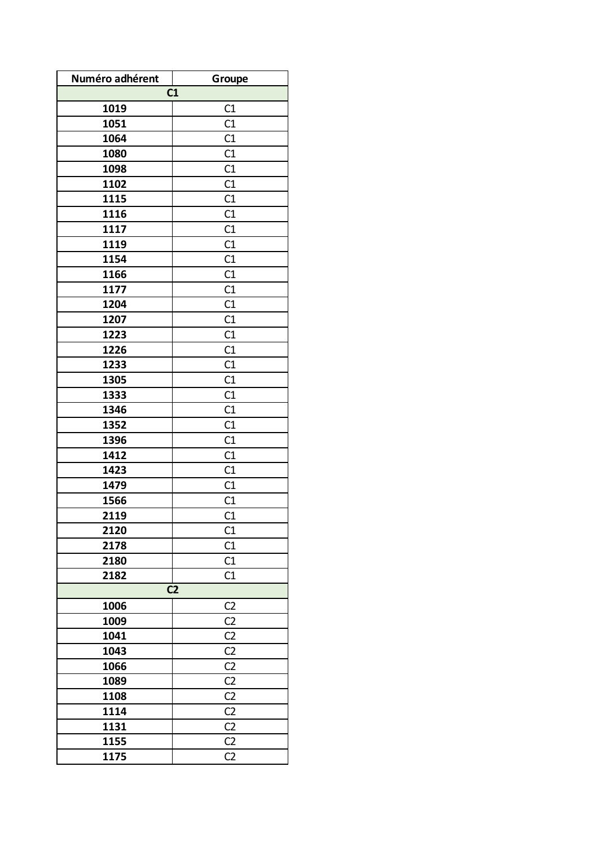| Numéro adhérent | Groupe         |
|-----------------|----------------|
|                 | C1             |
| 1019            | C1             |
| 1051            | C1             |
| 1064            | C1             |
| 1080            | C1             |
| 1098            | C1             |
| 1102            | C1             |
| 1115            | C1             |
| 1116            | C1             |
| 1117            | C1             |
| 1119            | C1             |
| 1154            | C1             |
| 1166            | C1             |
| 1177            | C1             |
| 1204            | C1             |
| 1207            | C1             |
| 1223            | C1             |
| 1226            | C1             |
| 1233            | C1             |
| 1305            | C1             |
| 1333            | C1             |
| 1346            | C1             |
| 1352            | C1             |
| 1396            | C1             |
| 1412            | C1             |
| 1423            | C1             |
| 1479            | C1             |
| 1566            | C1             |
| 2119            | C1             |
| 2120            | C1             |
| 2178            | C1             |
| 2180            | C1             |
| 2182            | C1             |
| C <sub>2</sub>  |                |
| 1006            | C <sub>2</sub> |
| 1009            | C <sub>2</sub> |
| 1041            | C <sub>2</sub> |
| 1043            | C <sub>2</sub> |
| 1066            | C <sub>2</sub> |
| 1089            | C <sub>2</sub> |
| 1108            | C <sub>2</sub> |
| 1114            | C <sub>2</sub> |
| 1131            | C <sub>2</sub> |
| 1155            | C <sub>2</sub> |
| 1175            | C <sub>2</sub> |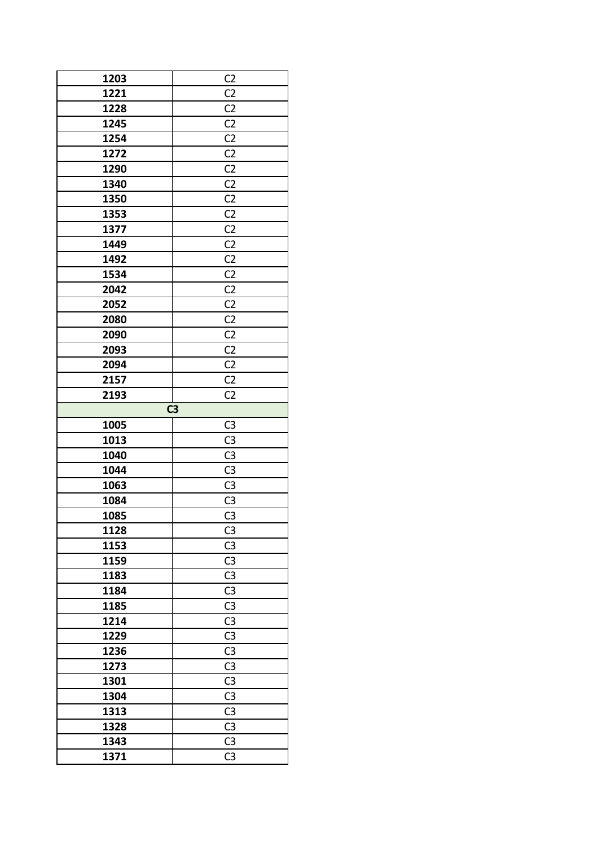| 1203         | C <sub>2</sub>                   |
|--------------|----------------------------------|
| 1221         | C <sub>2</sub>                   |
| 1228         | C <sub>2</sub>                   |
| 1245         | C <sub>2</sub>                   |
| 1254         | C <sub>2</sub>                   |
| 1272         | C <sub>2</sub>                   |
| 1290         | C <sub>2</sub>                   |
| 1340         | C <sub>2</sub>                   |
| 1350         | C <sub>2</sub>                   |
| 1353         | C <sub>2</sub>                   |
| 1377         | C <sub>2</sub>                   |
| 1449         | C <sub>2</sub>                   |
| 1492         | C <sub>2</sub>                   |
| 1534         | C <sub>2</sub>                   |
| 2042         | C <sub>2</sub>                   |
| 2052         | C <sub>2</sub>                   |
| 2080         | C <sub>2</sub>                   |
| 2090         | C <sub>2</sub>                   |
| 2093         | C <sub>2</sub>                   |
| 2094         | C <sub>2</sub>                   |
| 2157         | C <sub>2</sub>                   |
| 2193         | C <sub>2</sub>                   |
|              | $\overline{C}$                   |
| 1005         | C <sub>3</sub>                   |
| 1013         | C <sub>3</sub>                   |
| 1040         | C <sub>3</sub>                   |
| 1044         | C <sub>3</sub>                   |
| 1063         | C <sub>3</sub>                   |
| 1084         | C <sub>3</sub>                   |
| 1085         | C <sub>3</sub>                   |
| 1128         | C <sub>3</sub>                   |
|              |                                  |
|              |                                  |
| 1153         | C <sub>3</sub>                   |
| 1159         | C <sub>3</sub>                   |
| 1183         | C <sub>3</sub>                   |
| 1184         | C <sub>3</sub>                   |
| 1185         | C <sub>3</sub>                   |
| 1214         | C <sub>3</sub>                   |
| 1229         | C <sub>3</sub>                   |
| 1236         | C <sub>3</sub>                   |
| 1273         | C <sub>3</sub>                   |
| 1301         | C <sub>3</sub>                   |
| 1304         | C <sub>3</sub>                   |
| 1313         | C <sub>3</sub>                   |
| 1328         | C <sub>3</sub>                   |
| 1343<br>1371 | C <sub>3</sub><br>C <sub>3</sub> |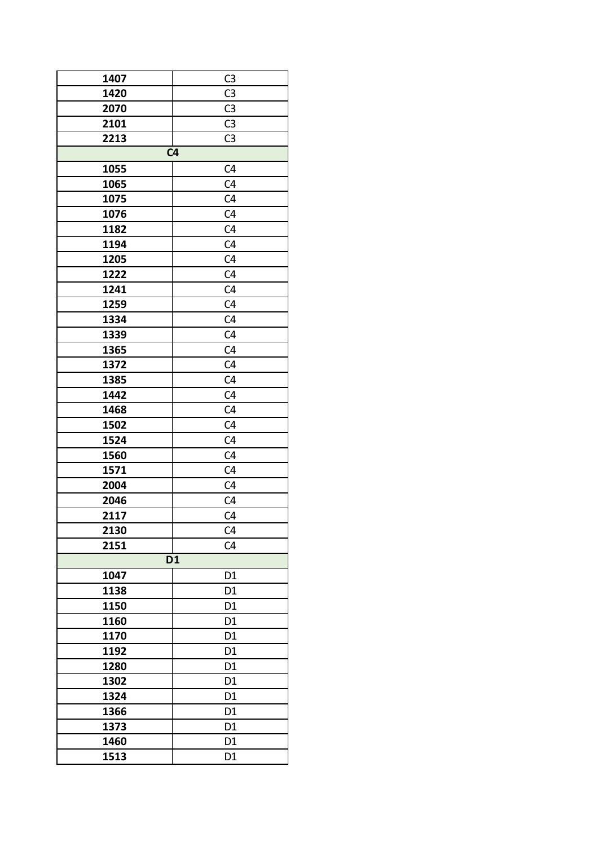| 1407                                      | C <sub>3</sub> |  |
|-------------------------------------------|----------------|--|
| 1420                                      | C <sub>3</sub> |  |
| 2070                                      | C <sub>3</sub> |  |
| 2101                                      | C <sub>3</sub> |  |
| 2213                                      | C <sub>3</sub> |  |
|                                           | C <sub>4</sub> |  |
| 1055                                      | C <sub>4</sub> |  |
| 1065                                      | C <sub>4</sub> |  |
| 1075                                      | C <sub>4</sub> |  |
| 1076                                      | C <sub>4</sub> |  |
| 1182                                      | C <sub>4</sub> |  |
| 1194                                      | C <sub>4</sub> |  |
| 1205                                      | C <sub>4</sub> |  |
| 1222                                      | C <sub>4</sub> |  |
| 1241                                      | C <sub>4</sub> |  |
| 1259                                      | C <sub>4</sub> |  |
| 1334                                      | C <sub>4</sub> |  |
| 1339                                      | C <sub>4</sub> |  |
| 1365                                      | C <sub>4</sub> |  |
| 1372                                      | C <sub>4</sub> |  |
| 1385                                      | C <sub>4</sub> |  |
| 1442                                      | C <sub>4</sub> |  |
| 1468                                      | C <sub>4</sub> |  |
| 1502                                      | C <sub>4</sub> |  |
| 1524                                      | C <sub>4</sub> |  |
| 1560                                      | C <sub>4</sub> |  |
| 1571                                      | C <sub>4</sub> |  |
| 2004                                      | C <sub>4</sub> |  |
| 2046                                      | C <sub>4</sub> |  |
| 2117                                      | C4             |  |
| 2130                                      | C <sub>4</sub> |  |
| 2151                                      | C <sub>4</sub> |  |
|                                           |                |  |
| $\overline{D1}$<br>1047<br>D <sub>1</sub> |                |  |
| 1138                                      | D1             |  |
| 1150                                      | D <sub>1</sub> |  |
| 1160                                      | D <sub>1</sub> |  |
| 1170                                      | D <sub>1</sub> |  |
|                                           |                |  |
| 1192                                      | D <sub>1</sub> |  |
| 1280                                      | D <sub>1</sub> |  |
| 1302                                      | D <sub>1</sub> |  |
| 1324                                      | D <sub>1</sub> |  |
| 1366                                      | D <sub>1</sub> |  |
| 1373                                      | D <sub>1</sub> |  |
| 1460                                      | D <sub>1</sub> |  |
| 1513                                      | D1             |  |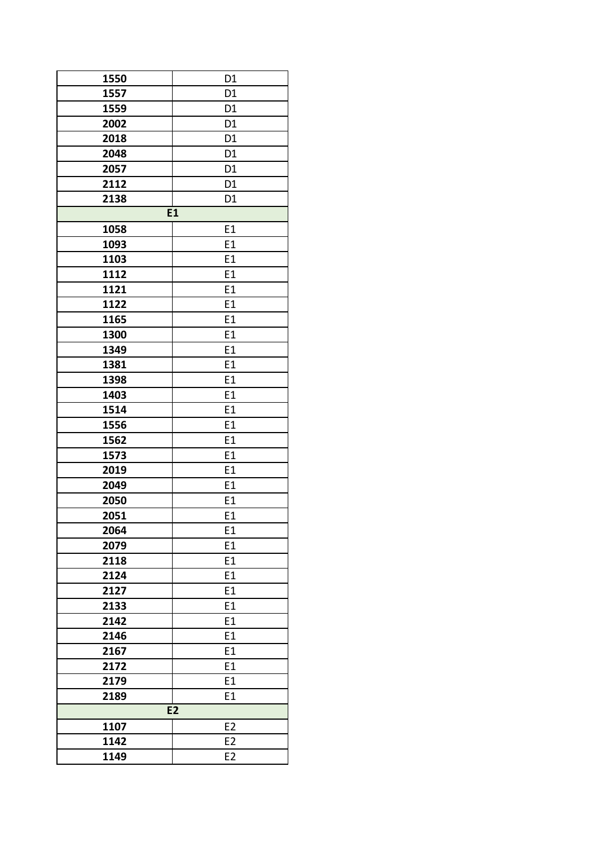| 1550           | D <sub>1</sub> |
|----------------|----------------|
| 1557           | D <sub>1</sub> |
| 1559           | D <sub>1</sub> |
| 2002           | D <sub>1</sub> |
|                |                |
| 2018           | D <sub>1</sub> |
| 2048           | D <sub>1</sub> |
| 2057           | D <sub>1</sub> |
| 2112           | D <sub>1</sub> |
| 2138           | D <sub>1</sub> |
|                | E1             |
| 1058           | E1             |
| 1093           | E1             |
| 1103           | E1             |
| 1112           | E1             |
| 1121           | E1             |
| 1122           | E1             |
| 1165           | E1             |
| 1300           | E1             |
| 1349           | E1             |
| 1381           | E1             |
| 1398           | E1             |
| 1403           | E1             |
| 1514           | E1             |
| 1556           | E1             |
| 1562           | E1             |
| 1573           | E1             |
| 2019           | E1             |
| 2049           | E1             |
| 2050           | E1             |
| 2051           | E1             |
|                |                |
| 2064           | E1             |
| 2079           | E1             |
| 2118           | E1             |
| 2124           | E1             |
| 2127           | E1             |
| 2133           | E1             |
| 2142           | E1             |
| 2146           | E1             |
| 2167           | E1             |
| 2172           | E1             |
| 2179           | E1             |
| 2189           | E1             |
| E <sub>2</sub> |                |
| 1107           | E <sub>2</sub> |
| 1142           | E <sub>2</sub> |
| 1149           | E <sub>2</sub> |
|                |                |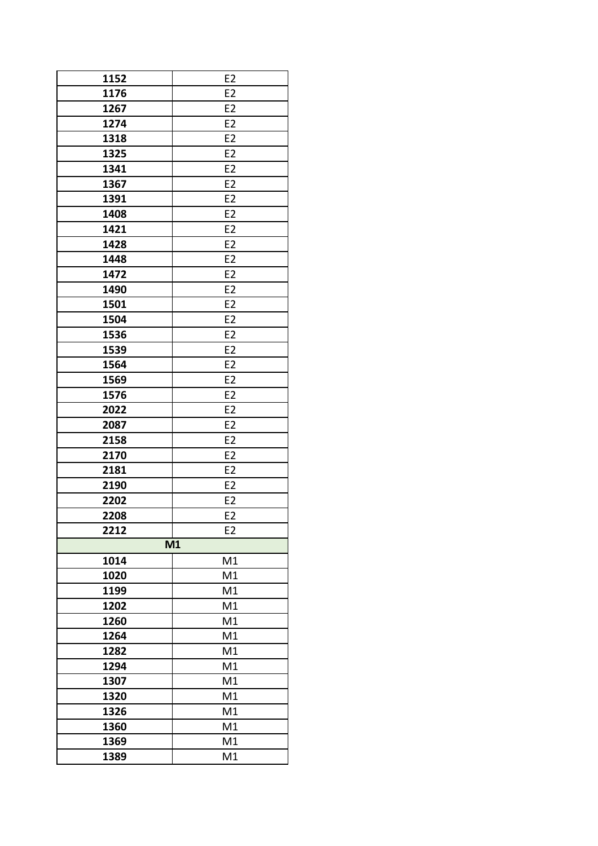| 1152       | E <sub>2</sub> |
|------------|----------------|
| 1176       | E <sub>2</sub> |
| 1267       | E <sub>2</sub> |
| 1274       | E <sub>2</sub> |
| 1318       | E <sub>2</sub> |
| 1325       | E <sub>2</sub> |
| 1341       | E <sub>2</sub> |
| 1367       | E <sub>2</sub> |
| 1391       | E <sub>2</sub> |
| 1408       | E <sub>2</sub> |
| 1421       | E <sub>2</sub> |
| 1428       | E <sub>2</sub> |
| 1448       | E <sub>2</sub> |
| 1472       | E <sub>2</sub> |
| 1490       | E <sub>2</sub> |
| 1501       | E <sub>2</sub> |
| 1504       | E <sub>2</sub> |
| 1536       | E <sub>2</sub> |
| 1539       | E <sub>2</sub> |
| 1564       | E <sub>2</sub> |
| 1569       | E <sub>2</sub> |
| 1576       | E <sub>2</sub> |
| 2022       | E <sub>2</sub> |
| 2087       | E <sub>2</sub> |
| 2158       | E <sub>2</sub> |
| 2170       | E <sub>2</sub> |
| 2181       | E <sub>2</sub> |
| 2190       | E <sub>2</sub> |
| 2202       | E <sub>2</sub> |
| 2208       | E <sub>2</sub> |
| 2212       | E <sub>2</sub> |
|            | M1             |
| M1<br>1014 |                |
| 1020       | M1             |
| 1199       | M1             |
| 1202       | M1             |
| 1260       | M1             |
| 1264       | M1             |
| 1282       | M1             |
| 1294       | M1             |
| 1307       | M1             |
| 1320       | M1             |
| 1326       | M1             |
| 1360       | M1             |
| 1369       | M1             |
| 1389       | M1             |
|            |                |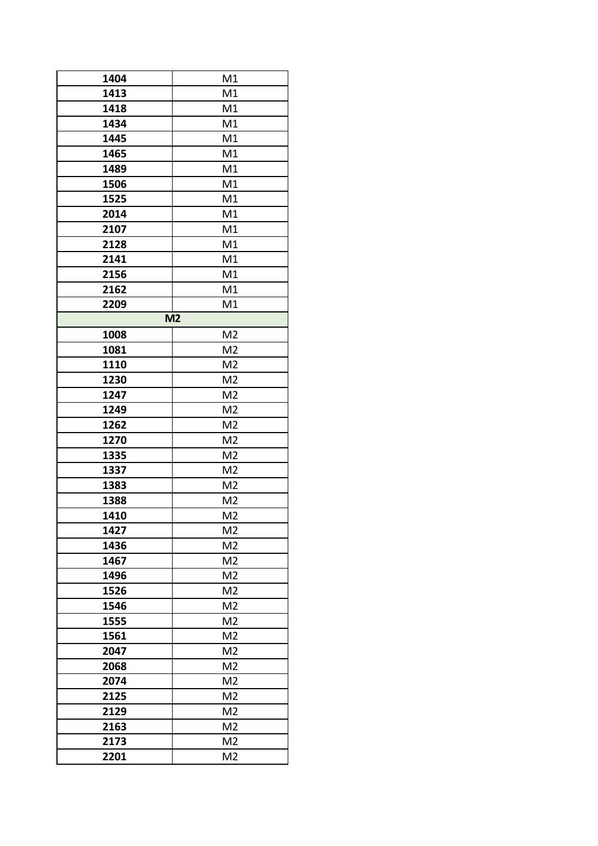| 1404 | M1             |
|------|----------------|
| 1413 | M1             |
| 1418 | M1             |
| 1434 | M1             |
| 1445 | M1             |
| 1465 | M1             |
| 1489 | M1             |
|      |                |
| 1506 | M1             |
| 1525 | M1             |
| 2014 | M1             |
| 2107 | M1             |
| 2128 | M1             |
| 2141 | M1             |
| 2156 | M1             |
| 2162 | M1             |
| 2209 | M1             |
|      | M <sub>2</sub> |
| 1008 | M <sub>2</sub> |
| 1081 | M <sub>2</sub> |
| 1110 | M <sub>2</sub> |
| 1230 | M <sub>2</sub> |
| 1247 | M <sub>2</sub> |
| 1249 | M <sub>2</sub> |
| 1262 | M <sub>2</sub> |
| 1270 | M <sub>2</sub> |
| 1335 | M <sub>2</sub> |
| 1337 | M <sub>2</sub> |
| 1383 | M <sub>2</sub> |
| 1388 | M <sub>2</sub> |
| 1410 | M <sub>2</sub> |
| 1427 | M <sub>2</sub> |
| 1436 | M <sub>2</sub> |
| 1467 | M <sub>2</sub> |
| 1496 | M <sub>2</sub> |
|      | M <sub>2</sub> |
| 1526 |                |
| 1546 | M <sub>2</sub> |
| 1555 | M <sub>2</sub> |
| 1561 | M <sub>2</sub> |
| 2047 | M <sub>2</sub> |
| 2068 | M <sub>2</sub> |
| 2074 | M <sub>2</sub> |
| 2125 | M <sub>2</sub> |
| 2129 | M <sub>2</sub> |
| 2163 | M <sub>2</sub> |
| 2173 | M <sub>2</sub> |
| 2201 | M <sub>2</sub> |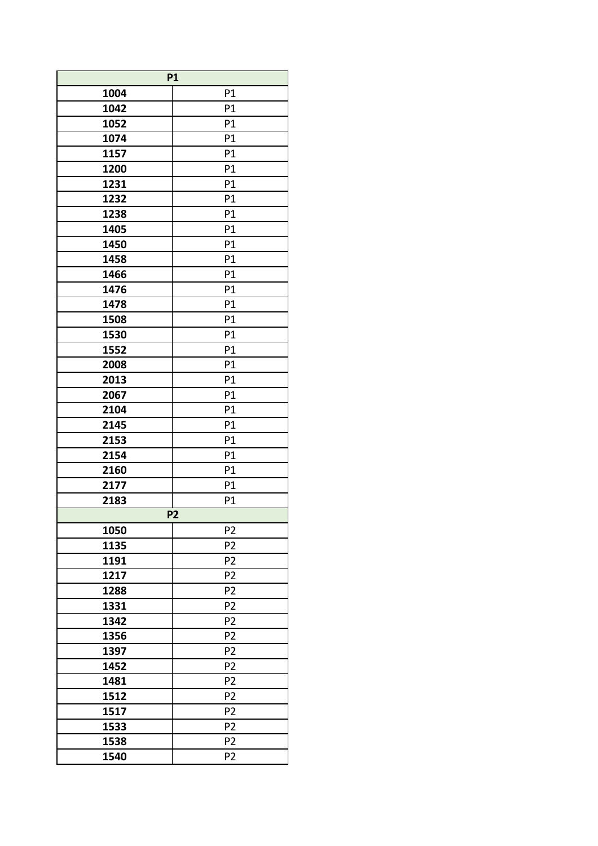| <b>P1</b> |                |
|-----------|----------------|
| 1004      | P1             |
| 1042      | P1             |
| 1052      | P1             |
| 1074      | P1             |
| 1157      | P1             |
| 1200      | P1             |
| 1231      | P1             |
| 1232      | P1             |
| 1238      | P1             |
| 1405      | P1             |
| 1450      | P1             |
| 1458      | P1             |
| 1466      | P1             |
| 1476      | P1             |
| 1478      | P1             |
| 1508      | P1             |
| 1530      | P1             |
| 1552      | P1             |
| 2008      | P1             |
| 2013      | P1             |
| 2067      | P1             |
| 2104      | P1             |
| 2145      | P1             |
| 2153      | P1             |
| 2154      | P1             |
| 2160      | P1             |
| 2177      | P1             |
| 2183      | P1             |
|           | P <sub>2</sub> |
| 1050      | P <sub>2</sub> |
| 1135      | P <sub>2</sub> |
| 1191      | P <sub>2</sub> |
| 1217      | P <sub>2</sub> |
| 1288      | P <sub>2</sub> |
| 1331      | P <sub>2</sub> |
| 1342      | P <sub>2</sub> |
| 1356      | P <sub>2</sub> |
| 1397      | P <sub>2</sub> |
| 1452      | P <sub>2</sub> |
| 1481      | P <sub>2</sub> |
| 1512      | P <sub>2</sub> |
| 1517      | P <sub>2</sub> |
| 1533      | P <sub>2</sub> |
| 1538      | P <sub>2</sub> |
| 1540      | P2             |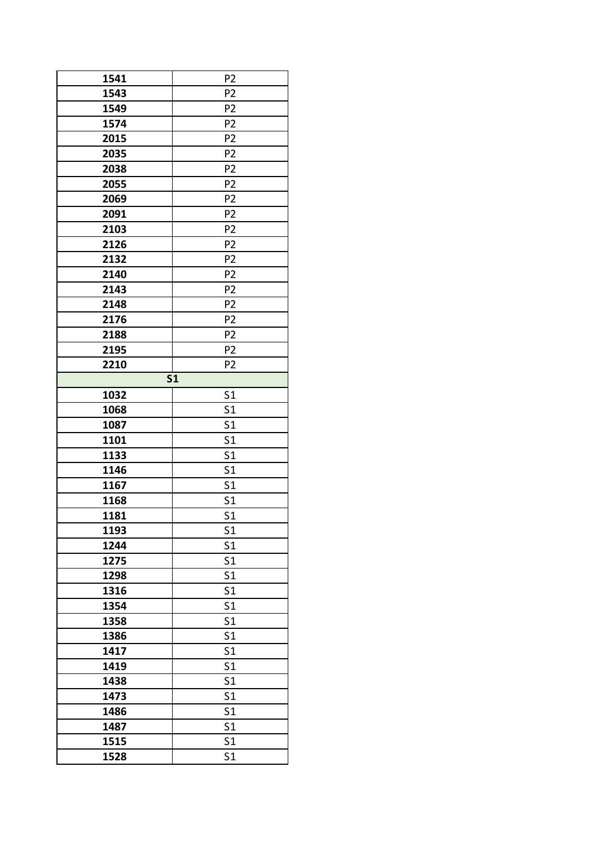| 1541<br>1543 | P <sub>2</sub><br>P <sub>2</sub> |
|--------------|----------------------------------|
| 1549         | P <sub>2</sub>                   |
|              |                                  |
| 1574         | P <sub>2</sub>                   |
| 2015         | P <sub>2</sub>                   |
| 2035         | P <sub>2</sub>                   |
| 2038         | P <sub>2</sub>                   |
| 2055         | P <sub>2</sub>                   |
| 2069         | P <sub>2</sub>                   |
| 2091         | P <sub>2</sub>                   |
| 2103         | P <sub>2</sub>                   |
| 2126         | P <sub>2</sub>                   |
| 2132         | P <sub>2</sub>                   |
| 2140         | P <sub>2</sub>                   |
| 2143         | P <sub>2</sub>                   |
| 2148         | P <sub>2</sub>                   |
| 2176         | P <sub>2</sub>                   |
| 2188         | P <sub>2</sub>                   |
| 2195         | P <sub>2</sub>                   |
| 2210         | P <sub>2</sub>                   |
|              | $\overline{\text{S1}}$           |
| 1032         | S <sub>1</sub>                   |
| 1068         | S <sub>1</sub>                   |
| 1087         | S <sub>1</sub>                   |
| 1101         | S <sub>1</sub>                   |
| 1133         | S <sub>1</sub>                   |
| 1146         | S <sub>1</sub>                   |
| 1167         | S <sub>1</sub>                   |
| 1168         | S <sub>1</sub>                   |
| 1181         | S <sub>1</sub>                   |
| 1193         | S <sub>1</sub>                   |
| 1244         | S <sub>1</sub>                   |
| 1275         | S <sub>1</sub>                   |
| 1298         | S <sub>1</sub>                   |
| 1316         | S <sub>1</sub>                   |
| 1354         |                                  |
|              | S <sub>1</sub>                   |
| 1358         | S <sub>1</sub>                   |
| 1386         | S <sub>1</sub>                   |
| 1417         | S <sub>1</sub>                   |
| 1419         | S <sub>1</sub>                   |
| 1438         | S <sub>1</sub>                   |
| 1473         | S <sub>1</sub>                   |
| 1486         | S <sub>1</sub>                   |
| 1487         | S <sub>1</sub>                   |
| 1515         | S <sub>1</sub>                   |
| 1528         | S <sub>1</sub>                   |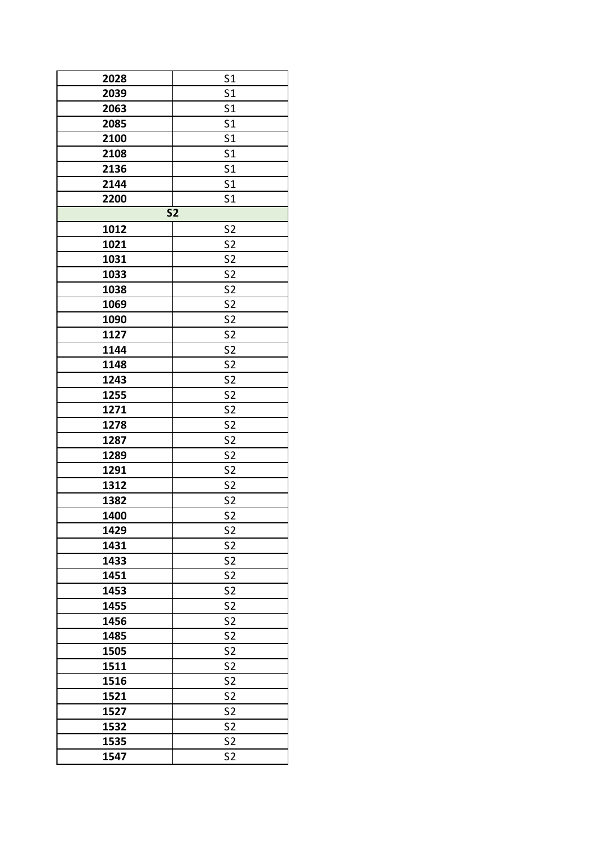| 2028 | S <sub>1</sub>                   |
|------|----------------------------------|
| 2039 | S <sub>1</sub>                   |
| 2063 | S <sub>1</sub>                   |
| 2085 | S <sub>1</sub>                   |
| 2100 | S <sub>1</sub>                   |
| 2108 | S <sub>1</sub>                   |
| 2136 | S <sub>1</sub>                   |
| 2144 | S <sub>1</sub>                   |
| 2200 | S <sub>1</sub>                   |
|      | $\overline{\mathsf{S2}}$         |
| 1012 | S <sub>2</sub>                   |
| 1021 | S <sub>2</sub>                   |
| 1031 | S <sub>2</sub>                   |
| 1033 | S <sub>2</sub>                   |
| 1038 | S <sub>2</sub>                   |
| 1069 |                                  |
| 1090 | S <sub>2</sub><br>S <sub>2</sub> |
|      |                                  |
| 1127 | S <sub>2</sub>                   |
| 1144 | S <sub>2</sub>                   |
| 1148 | S <sub>2</sub>                   |
| 1243 | S <sub>2</sub>                   |
| 1255 | S <sub>2</sub>                   |
| 1271 | S <sub>2</sub>                   |
| 1278 | S <sub>2</sub>                   |
| 1287 | S <sub>2</sub>                   |
| 1289 | S <sub>2</sub>                   |
| 1291 | S <sub>2</sub>                   |
| 1312 | S <sub>2</sub>                   |
| 1382 | S <sub>2</sub>                   |
| 1400 | S <sub>2</sub>                   |
| 1429 | S <sub>2</sub>                   |
| 1431 | S <sub>2</sub>                   |
| 1433 | S <sub>2</sub>                   |
| 1451 | S <sub>2</sub>                   |
| 1453 | S <sub>2</sub>                   |
| 1455 | S <sub>2</sub>                   |
| 1456 | S <sub>2</sub>                   |
| 1485 | S <sub>2</sub>                   |
| 1505 | S <sub>2</sub>                   |
| 1511 | S <sub>2</sub>                   |
| 1516 | S <sub>2</sub>                   |
| 1521 | S <sub>2</sub>                   |
| 1527 | S <sub>2</sub>                   |
| 1532 | S <sub>2</sub>                   |
| 1535 | S <sub>2</sub>                   |
| 1547 | S <sub>2</sub>                   |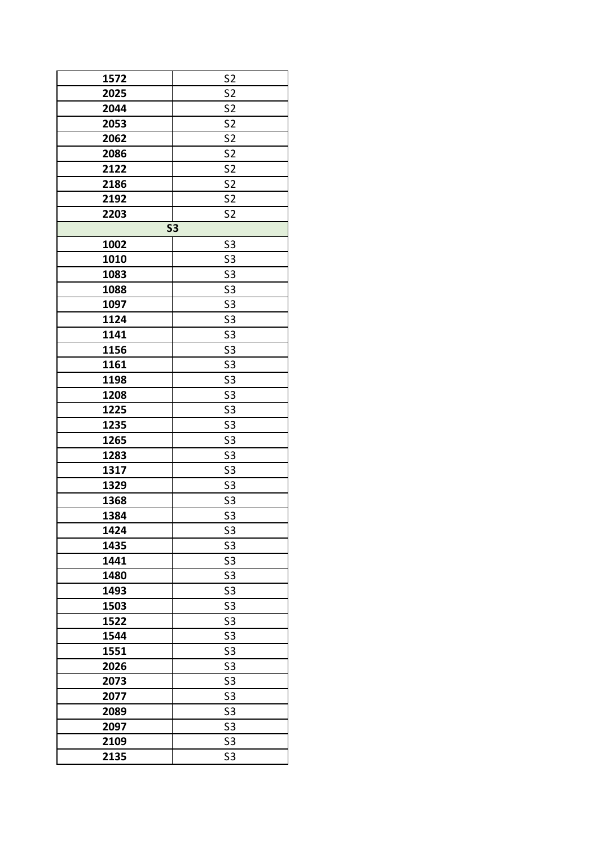| 1572 | S <sub>2</sub> |
|------|----------------|
| 2025 | S <sub>2</sub> |
| 2044 | S <sub>2</sub> |
| 2053 | S <sub>2</sub> |
| 2062 | S <sub>2</sub> |
| 2086 | S <sub>2</sub> |
| 2122 | S <sub>2</sub> |
| 2186 | S <sub>2</sub> |
| 2192 | S <sub>2</sub> |
| 2203 | S <sub>2</sub> |
|      | <b>S3</b>      |
| 1002 | S <sub>3</sub> |
| 1010 | S <sub>3</sub> |
| 1083 | S <sub>3</sub> |
| 1088 | S <sub>3</sub> |
|      |                |
| 1097 | S <sub>3</sub> |
| 1124 | S <sub>3</sub> |
| 1141 | S <sub>3</sub> |
| 1156 | S <sub>3</sub> |
| 1161 | S <sub>3</sub> |
| 1198 | S <sub>3</sub> |
| 1208 | S <sub>3</sub> |
| 1225 | S <sub>3</sub> |
| 1235 | S <sub>3</sub> |
| 1265 | S <sub>3</sub> |
| 1283 | S <sub>3</sub> |
| 1317 | S <sub>3</sub> |
| 1329 | S <sub>3</sub> |
| 1368 | S <sub>3</sub> |
| 1384 | S <sub>3</sub> |
| 1424 | S <sub>3</sub> |
| 1435 | S <sub>3</sub> |
| 1441 | S <sub>3</sub> |
| 1480 | S <sub>3</sub> |
| 1493 | S <sub>3</sub> |
| 1503 | S <sub>3</sub> |
| 1522 | S <sub>3</sub> |
| 1544 | S <sub>3</sub> |
| 1551 | S <sub>3</sub> |
| 2026 | S <sub>3</sub> |
| 2073 | S <sub>3</sub> |
| 2077 | S <sub>3</sub> |
| 2089 | S <sub>3</sub> |
| 2097 | S <sub>3</sub> |
| 2109 | S <sub>3</sub> |
| 2135 | S3             |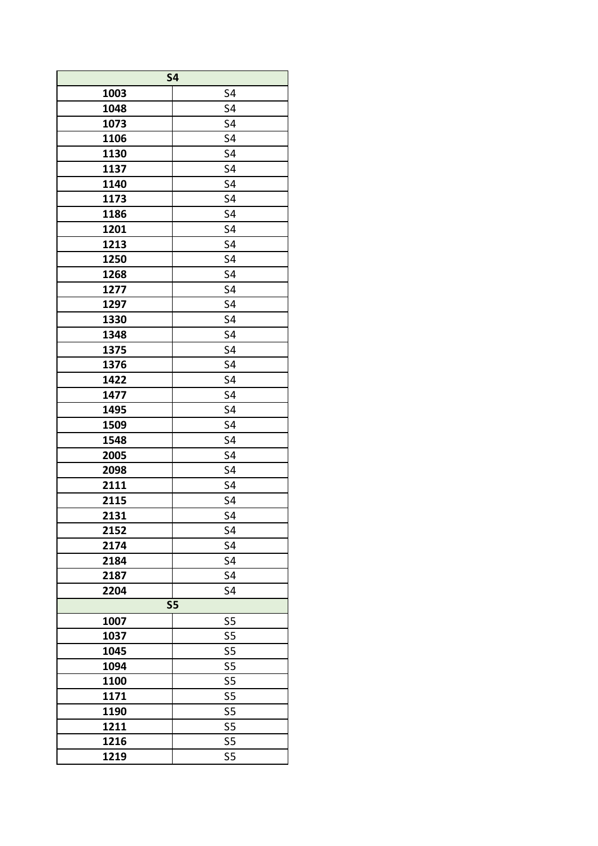| <b>S4</b>    |                |  |
|--------------|----------------|--|
| 1003         | S4             |  |
| 1048         | S4             |  |
| 1073         | S4             |  |
| 1106         | S4             |  |
| 1130         | S4             |  |
| 1137         | S4             |  |
| 1140         | S4             |  |
| 1173         | S4             |  |
| 1186         | S4             |  |
| 1201         | S4             |  |
| 1213         | S4             |  |
| 1250         | S4             |  |
| 1268         | S4             |  |
| 1277         | S4             |  |
| 1297         | S4             |  |
| 1330         | S4             |  |
| 1348         | S4             |  |
| 1375         | S4             |  |
| 1376         | S4             |  |
| 1422         | S4             |  |
| 1477         | S4             |  |
| 1495         | S4             |  |
|              | S4             |  |
| 1509         |                |  |
| 1548<br>2005 | S4<br>S4       |  |
| 2098         | S4             |  |
|              |                |  |
| 2111         | S4             |  |
| 2115         | S4             |  |
| 2131         | S4             |  |
| 2152         | S4             |  |
| 2174         | S4             |  |
| 2184         | S4             |  |
| 2187         | S4             |  |
| 2204         | S4             |  |
| <b>S5</b>    |                |  |
| 1007         | S <sub>5</sub> |  |
| 1037         | S5             |  |
| 1045         | S5             |  |
| 1094         | S <sub>5</sub> |  |
| 1100         | S5             |  |
| 1171         | S5             |  |
| 1190         | S <sub>5</sub> |  |
| 1211         | S <sub>5</sub> |  |
| 1216         | S5             |  |
| 1219         | S5             |  |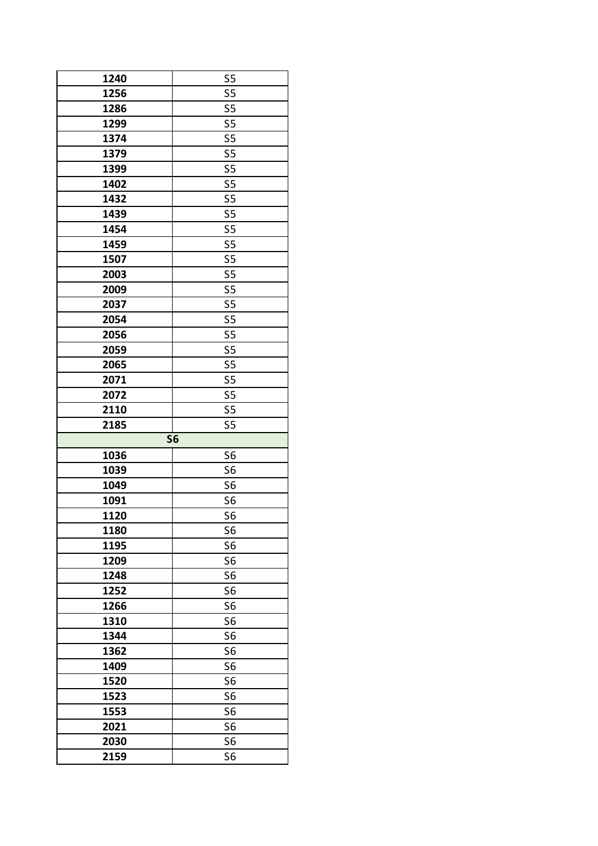| 1240         | S <sub>5</sub>                   |
|--------------|----------------------------------|
| 1256         | S <sub>5</sub>                   |
| 1286         | S <sub>5</sub>                   |
|              |                                  |
| 1299         | S5                               |
| 1374         | S5                               |
| 1379         | S <sub>5</sub>                   |
| 1399         | S5                               |
| 1402         | S5                               |
| 1432         | S <sub>5</sub>                   |
| 1439         | S <sub>5</sub>                   |
| 1454         | S5                               |
| 1459         | S5                               |
| 1507         | S5                               |
| 2003         | S <sub>5</sub>                   |
| 2009         | S <sub>5</sub>                   |
| 2037         | S5                               |
| 2054         | S <sub>5</sub>                   |
| 2056         | S <sub>5</sub>                   |
| 2059         | S <sub>5</sub>                   |
|              |                                  |
| 2065         | S5                               |
| 2071         | S5                               |
| 2072         | S <sub>5</sub>                   |
| 2110         | S5                               |
| 2185         | S5                               |
|              | <b>S6</b>                        |
| 1036         | S <sub>6</sub>                   |
| 1039         | S <sub>6</sub>                   |
| 1049         | S <sub>6</sub>                   |
| 1091         | S <sub>6</sub>                   |
| 1120         | S <sub>6</sub>                   |
| 1180         | S <sub>6</sub>                   |
| 1195         | S <sub>6</sub>                   |
| 1209         | S <sub>6</sub>                   |
| 1248         | S <sub>6</sub>                   |
| 1252         | S <sub>6</sub>                   |
| 1266         | S <sub>6</sub>                   |
| 1310         | S <sub>6</sub>                   |
| 1344         | S <sub>6</sub>                   |
| 1362         | S <sub>6</sub>                   |
| 1409         | S <sub>6</sub>                   |
| 1520         | S <sub>6</sub>                   |
|              |                                  |
| 1523         | S <sub>6</sub>                   |
|              |                                  |
| 1553         | S <sub>6</sub>                   |
| 2021         | S <sub>6</sub>                   |
| 2030<br>2159 | S <sub>6</sub><br>S <sub>6</sub> |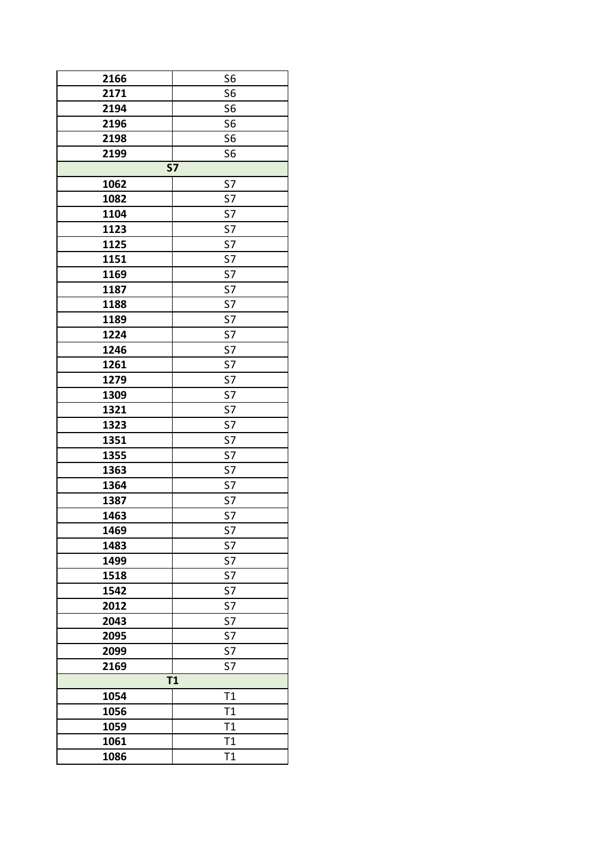| 2166 | S <sub>6</sub> |
|------|----------------|
| 2171 | S <sub>6</sub> |
| 2194 | S <sub>6</sub> |
| 2196 | S <sub>6</sub> |
| 2198 | S <sub>6</sub> |
| 2199 | S <sub>6</sub> |
|      | <b>S7</b>      |
| 1062 | S7             |
| 1082 | S7             |
| 1104 | S7             |
| 1123 | S7             |
| 1125 | S7             |
| 1151 | S7             |
| 1169 | S7             |
| 1187 | S7             |
| 1188 | S7             |
| 1189 | S7             |
| 1224 | S7             |
|      | S7             |
| 1246 |                |
| 1261 | S7             |
| 1279 | S7             |
| 1309 | S7             |
| 1321 | S7             |
| 1323 | S7             |
| 1351 | S7             |
| 1355 | S7             |
| 1363 | S7             |
| 1364 | S7             |
| 1387 | S7             |
| 1463 | S7             |
| 1469 | S7             |
| 1483 | S7             |
| 1499 | S7             |
| 1518 | S7             |
| 1542 | S7             |
| 2012 | S7             |
| 2043 | S7             |
| 2095 | S7             |
| 2099 | S7             |
| 2169 | S7             |
|      | T1             |
| 1054 | T1             |
| 1056 | T1             |
| 1059 | T1             |
| 1061 | T1             |
| 1086 | T1             |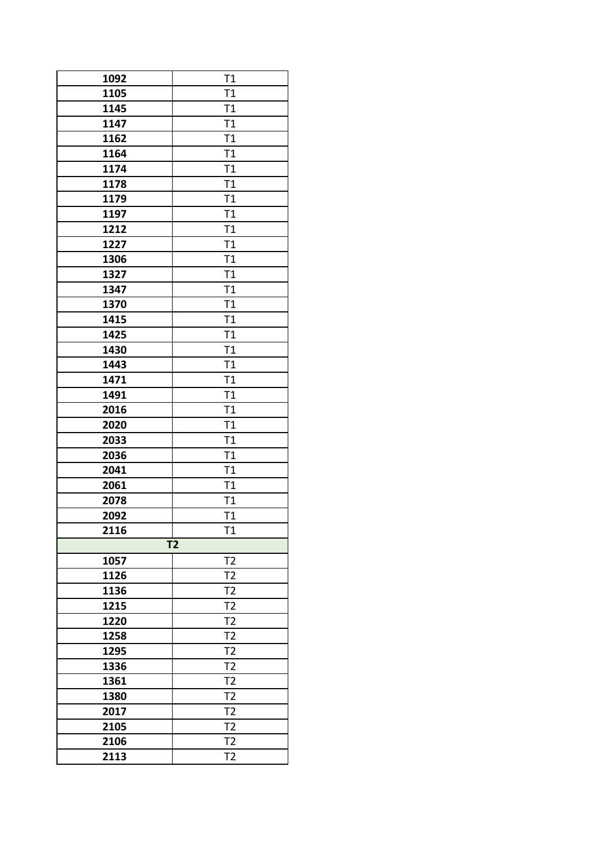| 1092 | T1             |
|------|----------------|
| 1105 | T1             |
| 1145 | T1             |
| 1147 | T1             |
| 1162 | T1             |
| 1164 | T1             |
| 1174 | T1             |
| 1178 | T1             |
| 1179 | T1             |
| 1197 | T1             |
| 1212 | T1             |
| 1227 | T1             |
| 1306 | T1             |
| 1327 | T1             |
| 1347 | T1             |
| 1370 | T1             |
| 1415 | T1             |
| 1425 | T1             |
| 1430 | T1             |
| 1443 | T1             |
| 1471 | T1             |
| 1491 | T1             |
| 2016 | T1             |
| 2020 | T1             |
| 2033 | T1             |
| 2036 | T1             |
| 2041 | T1             |
| 2061 | T1             |
| 2078 | T1             |
| 2092 | T1             |
| 2116 | T1             |
|      | T <sub>2</sub> |
| 1057 | T <sub>2</sub> |
| 1126 | T <sub>2</sub> |
| 1136 | T <sub>2</sub> |
| 1215 | T <sub>2</sub> |
| 1220 | T <sub>2</sub> |
| 1258 | T <sub>2</sub> |
| 1295 | T <sub>2</sub> |
| 1336 | T <sub>2</sub> |
| 1361 | T <sub>2</sub> |
| 1380 | T <sub>2</sub> |
| 2017 | T <sub>2</sub> |
| 2105 | T <sub>2</sub> |
| 2106 | T <sub>2</sub> |
| 2113 | T <sub>2</sub> |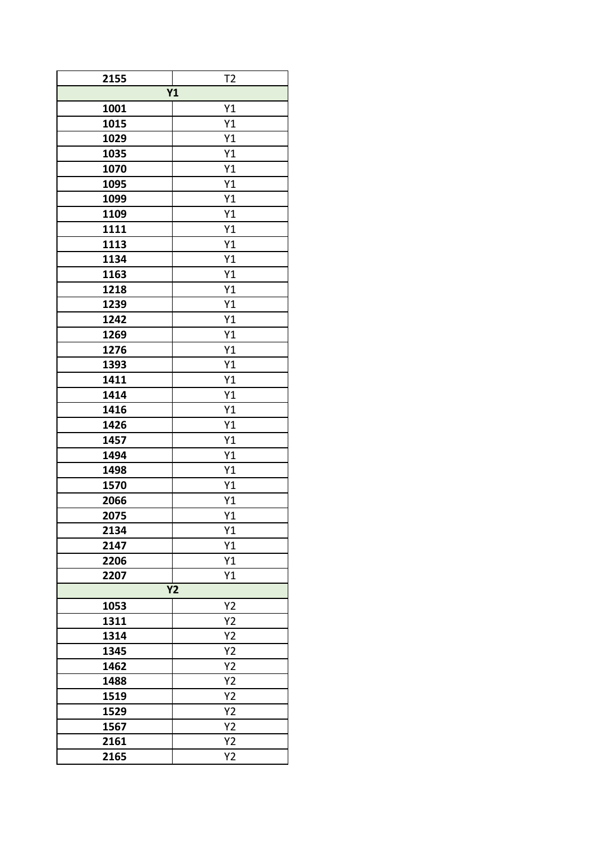| 2155 | T <sub>2</sub> |
|------|----------------|
|      | Y1             |
| 1001 | Y1             |
| 1015 | Y1             |
| 1029 | Y1             |
| 1035 | Y1             |
| 1070 | Y1             |
| 1095 | Y1             |
| 1099 | Y1             |
| 1109 | Y1             |
| 1111 | Y1             |
| 1113 | Y1             |
| 1134 | Y1             |
| 1163 | Y1             |
| 1218 | Y1             |
| 1239 | Y1             |
| 1242 | Y1             |
| 1269 | Y1             |
| 1276 | Y1             |
| 1393 | Y1             |
| 1411 | Y1             |
| 1414 | Y1             |
| 1416 | Y1             |
| 1426 | Y1             |
| 1457 | Y1             |
| 1494 | Y1             |
| 1498 | Y1             |
| 1570 | Y1             |
| 2066 | Y1             |
| 2075 | Y1             |
| 2134 | Y1             |
| 2147 | Y1             |
| 2206 | Y1             |
| 2207 | Y1             |
|      | <b>Y2</b>      |
| 1053 | Y2             |
| 1311 | Y2             |
| 1314 | Y2             |
| 1345 | Y2             |
| 1462 | Y2             |
| 1488 | Y2             |
| 1519 | Y2             |
| 1529 | Y2             |
| 1567 | Y2             |
| 2161 | Y2             |
| 2165 | Υ2             |